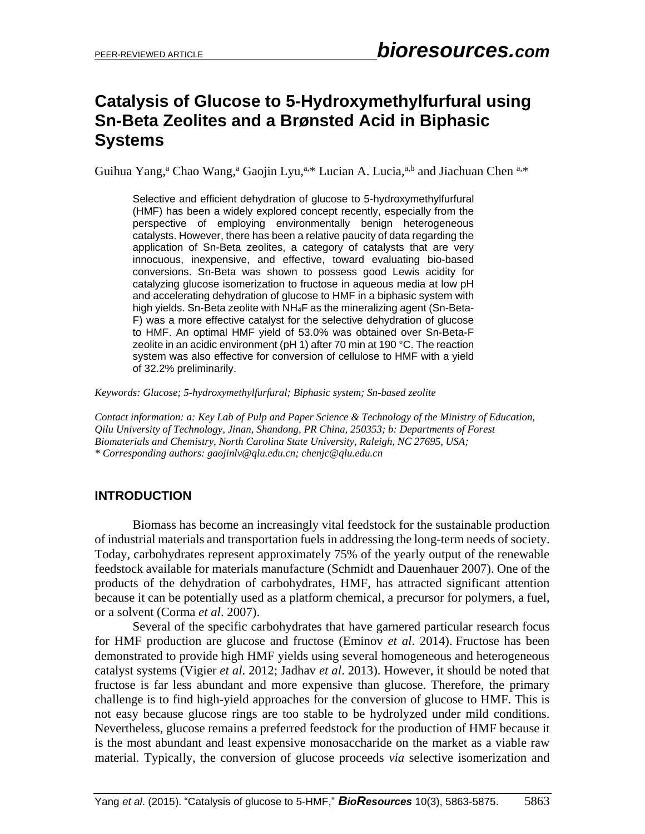# **Catalysis of Glucose to 5-Hydroxymethylfurfural using Sn-Beta Zeolites and a Brønsted Acid in Biphasic Systems**

Guihua Yang,<sup>a</sup> Chao Wang,<sup>a</sup> Gaojin Lyu,<sup>a,\*</sup> Lucian A. Lucia,<sup>a,b</sup> and Jiachuan Chen <sup>a,\*</sup>

Selective and efficient dehydration of glucose to 5-hydroxymethylfurfural (HMF) has been a widely explored concept recently, especially from the perspective of employing environmentally benign heterogeneous catalysts. However, there has been a relative paucity of data regarding the application of Sn-Beta zeolites, a category of catalysts that are very innocuous, inexpensive, and effective, toward evaluating bio-based conversions. Sn-Beta was shown to possess good Lewis acidity for catalyzing glucose isomerization to fructose in aqueous media at low pH and accelerating dehydration of glucose to HMF in a biphasic system with high yields. Sn-Beta zeolite with NH4F as the mineralizing agent (Sn-Beta-F) was a more effective catalyst for the selective dehydration of glucose to HMF. An optimal HMF yield of 53.0% was obtained over Sn-Beta-F zeolite in an acidic environment (pH 1) after 70 min at 190 °C. The reaction system was also effective for conversion of cellulose to HMF with a yield of 32.2% preliminarily.

*Keywords: Glucose; 5-hydroxymethylfurfural; Biphasic system; Sn-based zeolite*

*Contact information: a: Key Lab of Pulp and Paper Science & Technology of the Ministry of Education, Qilu University of Technology, Jinan, Shandong, PR China, 250353; b: Departments of Forest Biomaterials and Chemistry, North Carolina State University, Raleigh, NC 27695, USA; \* Corresponding authors: gaojinlv@qlu.edu.cn; chenjc@qlu.edu.cn*

### **INTRODUCTION**

Biomass has become an increasingly vital feedstock for the sustainable production of industrial materials and transportation fuels in addressing the long-term needs of society. Today, carbohydrates represent approximately 75% of the yearly output of the renewable feedstock available for materials manufacture (Schmidt and Dauenhauer 2007). One of the products of the dehydration of carbohydrates, HMF, has attracted significant attention because it can be potentially used as a platform chemical, a precursor for polymers, a fuel, or a solvent (Corma *et al*. 2007).

Several of the specific carbohydrates that have garnered particular research focus for HMF production are glucose and fructose (Eminov *et al*. 2014). Fructose has been demonstrated to provide high HMF yields using several homogeneous and heterogeneous catalyst systems (Vigier *et al*. 2012; Jadhav *et al*. 2013). However, it should be noted that fructose is far less abundant and more expensive than glucose. Therefore, the primary challenge is to find high-yield approaches for the conversion of glucose to HMF. This is not easy because glucose rings are too stable to be hydrolyzed under mild conditions. Nevertheless, glucose remains a preferred feedstock for the production of HMF because it is the most abundant and least expensive monosaccharide on the market as a viable raw material. Typically, the conversion of glucose proceeds *via* selective isomerization and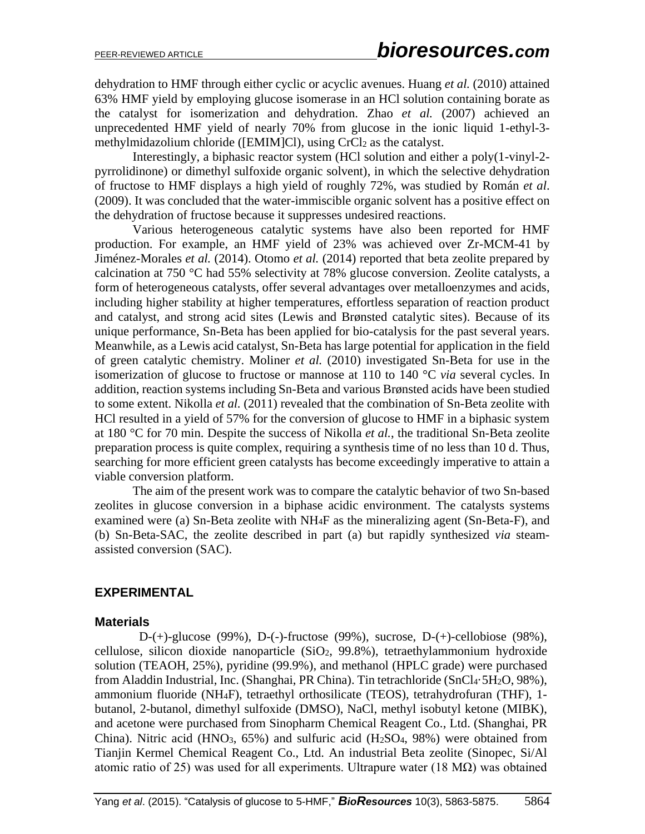dehydration to HMF through either cyclic or acyclic avenues. Huang *et al.* (2010) attained 63% HMF yield by employing glucose isomerase in an HCl solution containing borate as the catalyst for isomerization and dehydration. Zhao *et al.* (2007) achieved an unprecedented HMF yield of nearly 70% from glucose in the ionic liquid 1-ethyl-3 methylmidazolium chloride ([EMIM]Cl), using CrCl<sub>2</sub> as the catalyst.

Interestingly, a biphasic reactor system (HCl solution and either a poly(1-vinyl-2 pyrrolidinone) or dimethyl sulfoxide organic solvent), in which the selective dehydration of fructose to HMF displays a high yield of roughly 72%, was studied by Román *et al*. (2009). It was concluded that the water-immiscible organic solvent has a positive effect on the dehydration of fructose because it suppresses undesired reactions.

Various heterogeneous catalytic systems have also been reported for HMF production. For example, an HMF yield of 23% was achieved over Zr-MCM-41 by Jiménez-Morales *et al.* (2014). Otomo *et al.* (2014) reported that beta zeolite prepared by calcination at 750 °C had 55% selectivity at 78% glucose conversion. Zeolite catalysts, a form of heterogeneous catalysts, offer several advantages over metalloenzymes and acids, including higher stability at higher temperatures, effortless separation of reaction product and catalyst, and strong acid sites (Lewis and Brønsted catalytic sites). Because of its unique performance, Sn-Beta has been applied for bio-catalysis for the past several years. Meanwhile, as a Lewis acid catalyst, Sn-Beta has large potential for application in the field of green catalytic chemistry. Moliner *et al.* (2010) investigated Sn-Beta for use in the isomerization of glucose to fructose or mannose at 110 to 140 °C *via* several cycles. In addition, reaction systems including Sn-Beta and various Brønsted acids have been studied to some extent. Nikolla *et al.* (2011) revealed that the combination of Sn-Beta zeolite with HCl resulted in a yield of 57% for the conversion of glucose to HMF in a biphasic system at 180 °C for 70 min. Despite the success of Nikolla *et al.*, the traditional Sn-Beta zeolite preparation process is quite complex, requiring a synthesis time of no less than 10 d. Thus, searching for more efficient green catalysts has become exceedingly imperative to attain a viable conversion platform.

The aim of the present work was to compare the catalytic behavior of two Sn-based zeolites in glucose conversion in a biphase acidic environment. The catalysts systems examined were (a) Sn-Beta zeolite with NH4F as the mineralizing agent (Sn-Beta-F), and (b) Sn-Beta-SAC, the zeolite described in part (a) but rapidly synthesized *via* steamassisted conversion (SAC).

#### **EXPERIMENTAL**

#### **Materials**

D-(+)-glucose (99%), D-(-)-fructose (99%), sucrose, D-(+)-cellobiose (98%), cellulose, silicon dioxide nanoparticle (SiO2, 99.8%), tetraethylammonium hydroxide solution (TEAOH, 25%), pyridine (99.9%), and methanol (HPLC grade) were purchased from Aladdin Industrial, Inc. (Shanghai, PR China). Tin tetrachloride (SnCl4·5H2O, 98%), ammonium fluoride (NH4F), tetraethyl orthosilicate (TEOS), tetrahydrofuran (THF), 1 butanol, 2-butanol, dimethyl sulfoxide (DMSO), NaCl, methyl isobutyl ketone (MIBK), and acetone were purchased from Sinopharm Chemical Reagent Co., Ltd. (Shanghai, PR China). Nitric acid (HNO<sub>3</sub>,  $65\%$ ) and sulfuric acid (H<sub>2</sub>SO<sub>4</sub>, 98%) were obtained from Tianjin Kermel Chemical Reagent Co., Ltd. An industrial Beta zeolite (Sinopec, Si/Al atomic ratio of 25) was used for all experiments. Ultrapure water (18 MΩ) was obtained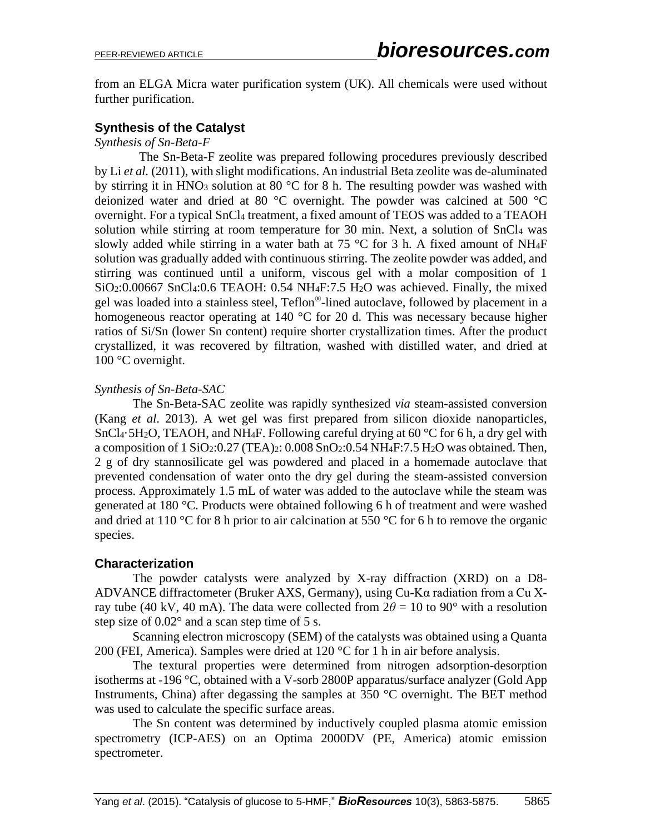from an ELGA Micra water purification system (UK). All chemicals were used without further purification.

#### **Synthesis of the Catalyst**

*Synthesis of Sn-Beta-F*

The Sn-Beta-F zeolite was prepared following procedures previously described by Li *et al.* (2011), with slight modifications. An industrial Beta zeolite was de-aluminated by stirring it in HNO<sub>3</sub> solution at 80  $\degree$ C for 8 h. The resulting powder was washed with deionized water and dried at 80 °C overnight. The powder was calcined at 500 °C overnight. For a typical SnCl<sup>4</sup> treatment, a fixed amount of TEOS was added to a TEAOH solution while stirring at room temperature for 30 min. Next, a solution of SnCl<sub>4</sub> was slowly added while stirring in a water bath at 75  $\degree$ C for 3 h. A fixed amount of NH<sub>4</sub>F solution was gradually added with continuous stirring. The zeolite powder was added, and stirring was continued until a uniform, viscous gel with a molar composition of 1 SiO2:0.00667 SnCl4:0.6 TEAOH: 0.54 NH4F:7.5 H2O was achieved. Finally, the mixed gel was loaded into a stainless steel, Teflon®-lined autoclave, followed by placement in a homogeneous reactor operating at 140 °C for 20 d. This was necessary because higher ratios of Si/Sn (lower Sn content) require shorter crystallization times. After the product crystallized, it was recovered by filtration, washed with distilled water, and dried at 100 °C overnight.

#### *Synthesis of Sn-Beta-SAC*

The Sn-Beta-SAC zeolite was rapidly synthesized *via* steam-assisted conversion (Kang *et al*. 2013). A wet gel was first prepared from silicon dioxide nanoparticles, SnCl<sub>4</sub>·5H<sub>2</sub>O, TEAOH, and NH<sub>4</sub>F. Following careful drying at 60  $\degree$ C for 6 h, a dry gel with a composition of 1 SiO2:0.27 (TEA)2:  $0.008$  SnO2:0.54 NH<sub>4</sub>F:7.5 H<sub>2</sub>O was obtained. Then, 2 g of dry stannosilicate gel was powdered and placed in a homemade autoclave that prevented condensation of water onto the dry gel during the steam-assisted conversion process. Approximately 1.5 mL of water was added to the autoclave while the steam was generated at 180 °C. Products were obtained following 6 h of treatment and were washed and dried at 110 °C for 8 h prior to air calcination at 550 °C for 6 h to remove the organic species.

#### **Characterization**

The powder catalysts were analyzed by X-ray diffraction (XRD) on a D8- ADVANCE diffractometer (Bruker AXS, Germany), using Cu-Kα radiation from a Cu Xray tube (40 kV, 40 mA). The data were collected from  $2\theta = 10$  to 90° with a resolution step size of  $0.02^{\circ}$  and a scan step time of 5 s.

Scanning electron microscopy (SEM) of the catalysts was obtained using a Quanta 200 (FEI, America). Samples were dried at 120 °C for 1 h in air before analysis.

The textural properties were determined from nitrogen adsorption-desorption isotherms at -196 °C, obtained with a V-sorb 2800P apparatus/surface analyzer (Gold App Instruments, China) after degassing the samples at 350 °C overnight. The BET method was used to calculate the specific surface areas.

The Sn content was determined by inductively coupled plasma atomic emission spectrometry (ICP-AES) on an Optima 2000DV (PE, America) atomic emission spectrometer.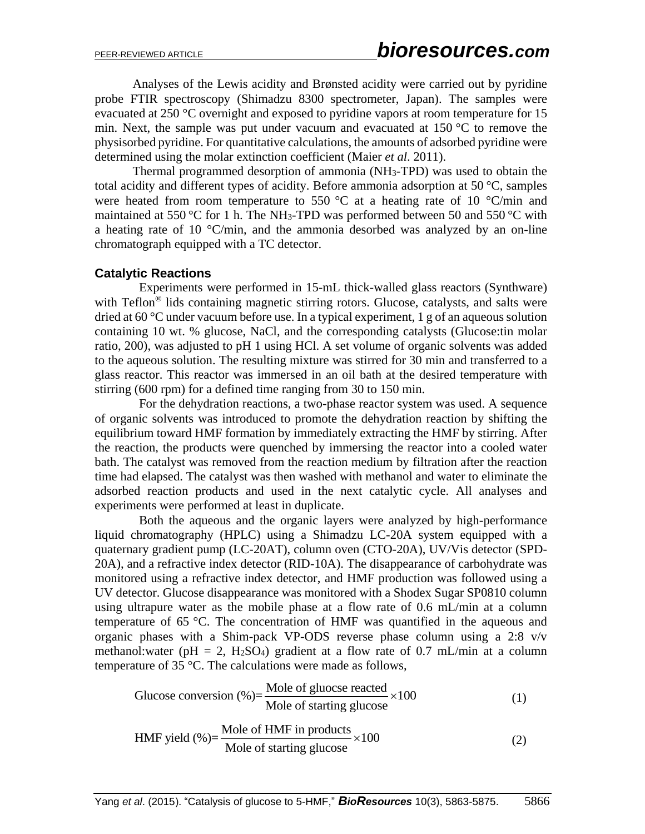Analyses of the Lewis acidity and Brønsted acidity were carried out by pyridine probe FTIR spectroscopy (Shimadzu 8300 spectrometer, Japan). The samples were evacuated at 250 °C overnight and exposed to pyridine vapors at room temperature for 15 min. Next, the sample was put under vacuum and evacuated at 150 °C to remove the physisorbed pyridine. For quantitative calculations, the amounts of adsorbed pyridine were determined using the molar extinction coefficient (Maier *et al*. 2011).

Thermal programmed desorption of ammonia (NH3-TPD) was used to obtain the total acidity and different types of acidity. Before ammonia adsorption at 50 °C, samples were heated from room temperature to 550  $\degree$ C at a heating rate of 10  $\degree$ C/min and maintained at 550 °C for 1 h. The NH<sub>3</sub>-TPD was performed between 50 and 550 °C with a heating rate of 10  $\degree$ C/min, and the ammonia desorbed was analyzed by an on-line chromatograph equipped with a TC detector.

#### **Catalytic Reactions**

Experiments were performed in 15-mL thick-walled glass reactors (Synthware) with Teflon<sup>®</sup> lids containing magnetic stirring rotors. Glucose, catalysts, and salts were dried at 60 °C under vacuum before use. In a typical experiment, 1 g of an aqueous solution containing 10 wt. % glucose, NaCl, and the corresponding catalysts (Glucose:tin molar ratio, 200), was adjusted to pH 1 using HCl. A set volume of organic solvents was added to the aqueous solution. The resulting mixture was stirred for 30 min and transferred to a glass reactor. This reactor was immersed in an oil bath at the desired temperature with stirring (600 rpm) for a defined time ranging from 30 to 150 min.

For the dehydration reactions, a two-phase reactor system was used. A sequence of organic solvents was introduced to promote the dehydration reaction by shifting the equilibrium toward HMF formation by immediately extracting the HMF by stirring. After the reaction, the products were quenched by immersing the reactor into a cooled water bath. The catalyst was removed from the reaction medium by filtration after the reaction time had elapsed. The catalyst was then washed with methanol and water to eliminate the adsorbed reaction products and used in the next catalytic cycle. All analyses and experiments were performed at least in duplicate.

Both the aqueous and the organic layers were analyzed by high-performance liquid chromatography (HPLC) using a Shimadzu LC-20A system equipped with a quaternary gradient pump (LC-20AT), column oven (CTO-20A), UV/Vis detector (SPD-20A), and a refractive index detector (RID-10A). The disappearance of carbohydrate was monitored using a refractive index detector, and HMF production was followed using a UV detector. Glucose disappearance was monitored with a Shodex Sugar SP0810 column using ultrapure water as the mobile phase at a flow rate of 0.6 mL/min at a column temperature of 65 °C. The concentration of HMF was quantified in the aqueous and organic phases with a Shim-pack VP-ODS reverse phase column using a 2:8 v/v methanol: water (pH = 2, H<sub>2</sub>SO<sub>4</sub>) gradient at a flow rate of 0.7 mL/min at a column

temperature of 35 °C. The calculations were made as follows,  
Glucose conversion (
$$
\%
$$
)= $\frac{\text{Mole of glucose reacted}}{\text{Mole of starting glucose}} \times 100$  (1)

$$
100C \text{ of starting glucose}
$$
\n
$$
HMF \text{ yield } (\%)=\frac{\text{Mole of HMF in products}}{\text{Mole of starting glucose}} \times 100 \tag{2}
$$

Yang *et al*. (2015). "Catalysis of glucose to 5-HMF," *BioResources* 10(3), 5863-5875. 5866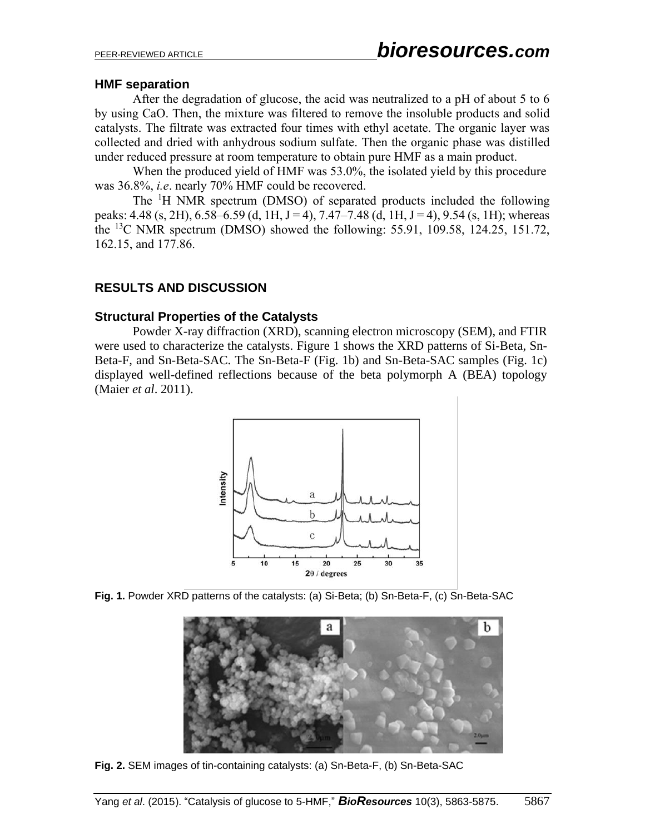#### **HMF separation**

After the degradation of glucose, the acid was neutralized to a pH of about 5 to 6 by using CaO. Then, the mixture was filtered to remove the insoluble products and solid catalysts. The filtrate was extracted four times with ethyl acetate. The organic layer was collected and dried with anhydrous sodium sulfate. Then the organic phase was distilled under reduced pressure at room temperature to obtain pure HMF as a main product.

When the produced yield of HMF was 53.0%, the isolated yield by this procedure was 36.8%, *i.e*. nearly 70% HMF could be recovered.

The <sup>1</sup>H NMR spectrum (DMSO) of separated products included the following peaks: 4.48 (s, 2H), 6.58–6.59 (d, 1H, J = 4), 7.47–7.48 (d, 1H, J = 4), 9.54 (s, 1H); whereas the <sup>13</sup>C NMR spectrum (DMSO) showed the following: 55.91, 109.58, 124.25, 151.72, 162.15, and 177.86.

#### **RESULTS AND DISCUSSION**

#### **Structural Properties of the Catalysts**

Powder X-ray diffraction (XRD), scanning electron microscopy (SEM), and FTIR were used to characterize the catalysts. Figure 1 shows the XRD patterns of Si-Beta, Sn-Beta-F, and Sn-Beta-SAC. The Sn-Beta-F (Fig. 1b) and Sn-Beta-SAC samples (Fig. 1c) displayed well-defined reflections because of the beta polymorph A (BEA) topology (Maier *et al*. 2011).



**Fig. 1.** Powder XRD patterns of the catalysts: (a) Si-Beta; (b) Sn-Beta-F, (c) Sn-Beta-SAC



**Fig. 2.** SEM images of tin-containing catalysts: (a) Sn-Beta-F, (b) Sn-Beta-SAC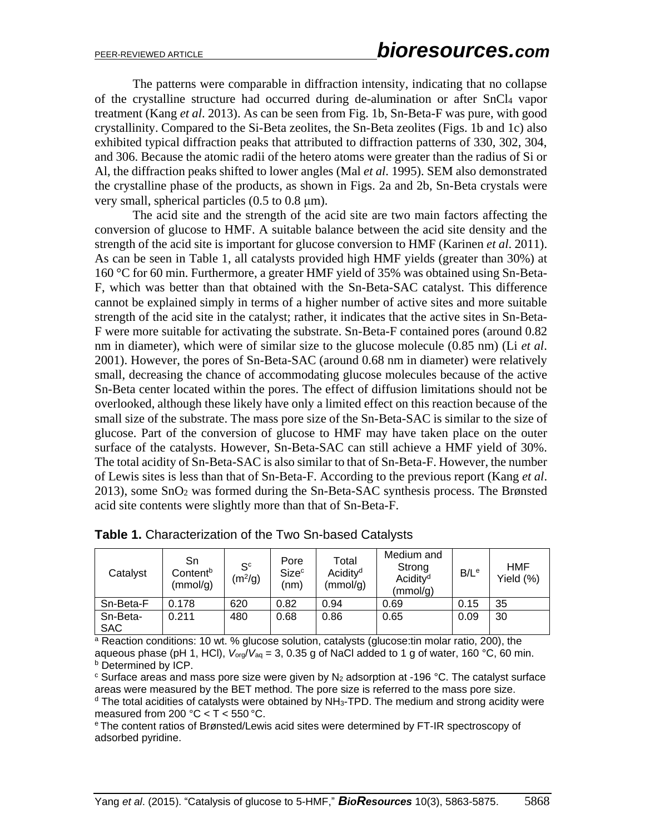The patterns were comparable in diffraction intensity, indicating that no collapse of the crystalline structure had occurred during de-alumination or after SnCl<sup>4</sup> vapor treatment (Kang *et al*. 2013). As can be seen from Fig. 1b, Sn-Beta-F was pure, with good crystallinity. Compared to the Si-Beta zeolites, the Sn-Beta zeolites (Figs. 1b and 1c) also exhibited typical diffraction peaks that attributed to diffraction patterns of 330, 302, 304, and 306. Because the atomic radii of the hetero atoms were greater than the radius of Si or Al, the diffraction peaks shifted to lower angles (Mal *et al*. 1995). SEM also demonstrated the crystalline phase of the products, as shown in Figs. 2a and 2b, Sn-Beta crystals were very small, spherical particles  $(0.5 \text{ to } 0.8 \text{ }\mu\text{m})$ .

The acid site and the strength of the acid site are two main factors affecting the conversion of glucose to HMF. A suitable balance between the acid site density and the strength of the acid site is important for glucose conversion to HMF (Karinen *et al*. 2011). As can be seen in Table 1, all catalysts provided high HMF yields (greater than 30%) at 160 °C for 60 min. Furthermore, a greater HMF yield of 35% was obtained using Sn-Beta-F, which was better than that obtained with the Sn-Beta-SAC catalyst. This difference cannot be explained simply in terms of a higher number of active sites and more suitable strength of the acid site in the catalyst; rather, it indicates that the active sites in Sn-Beta-F were more suitable for activating the substrate. Sn-Beta-F contained pores (around 0.82 nm in diameter), which were of similar size to the glucose molecule (0.85 nm) (Li *et al*. 2001). However, the pores of Sn-Beta-SAC (around 0.68 nm in diameter) were relatively small, decreasing the chance of accommodating glucose molecules because of the active Sn-Beta center located within the pores. The effect of diffusion limitations should not be overlooked, although these likely have only a limited effect on this reaction because of the small size of the substrate. The mass pore size of the Sn-Beta-SAC is similar to the size of glucose. Part of the conversion of glucose to HMF may have taken place on the outer surface of the catalysts. However, Sn-Beta-SAC can still achieve a HMF yield of 30%. The total acidity of Sn-Beta-SAC is also similar to that of Sn-Beta-F. However, the number of Lewis sites is less than that of Sn-Beta-F. According to the previous report (Kang *et al*. 2013), some SnO<sup>2</sup> was formed during the Sn-Beta-SAC synthesis process. The Brønsted acid site contents were slightly more than that of Sn-Beta-F.

| Catalyst               | Sn<br>Content <sup>b</sup><br>(mmol/g) | $S^{c}$<br>(m <sup>2</sup> /g) | Pore<br><b>Size</b> <sup>c</sup><br>(nm) | Total<br>Acidity <sup>d</sup><br>(mmol/g) | Medium and<br>Strong<br>Acidity <sup>d</sup><br>(mmol/g) | B/L <sup>e</sup> | <b>HMF</b><br>Yield (%) |
|------------------------|----------------------------------------|--------------------------------|------------------------------------------|-------------------------------------------|----------------------------------------------------------|------------------|-------------------------|
| Sn-Beta-F              | 0.178                                  | 620                            | 0.82                                     | 0.94                                      | 0.69                                                     | 0.15             | 35                      |
| Sn-Beta-<br><b>SAC</b> | 0.211                                  | 480                            | 0.68                                     | 0.86                                      | 0.65                                                     | 0.09             | 30                      |

| Table 1. Characterization of the Two Sn-based Catalysts |  |  |  |  |  |
|---------------------------------------------------------|--|--|--|--|--|
|---------------------------------------------------------|--|--|--|--|--|

 $a$  Reaction conditions: 10 wt. % glucose solution, catalysts (glucose: tin molar ratio, 200), the aqueous phase (pH 1, HCl),  $V_{org}/V_{aq} = 3$ , 0.35 g of NaCl added to 1 g of water, 160 °C, 60 min. **b** Determined by ICP.

 $\degree$  Surface areas and mass pore size were given by N<sub>2</sub> adsorption at -196  $\degree$ C. The catalyst surface areas were measured by the BET method. The pore size is referred to the mass pore size.

 $d$  The total acidities of catalysts were obtained by NH<sub>3</sub>-TPD. The medium and strong acidity were measured from 200  $°C < T < 550$  °C.

<sup>e</sup>The content ratios of Brønsted/Lewis acid sites were determined by FT-IR spectroscopy of adsorbed pyridine.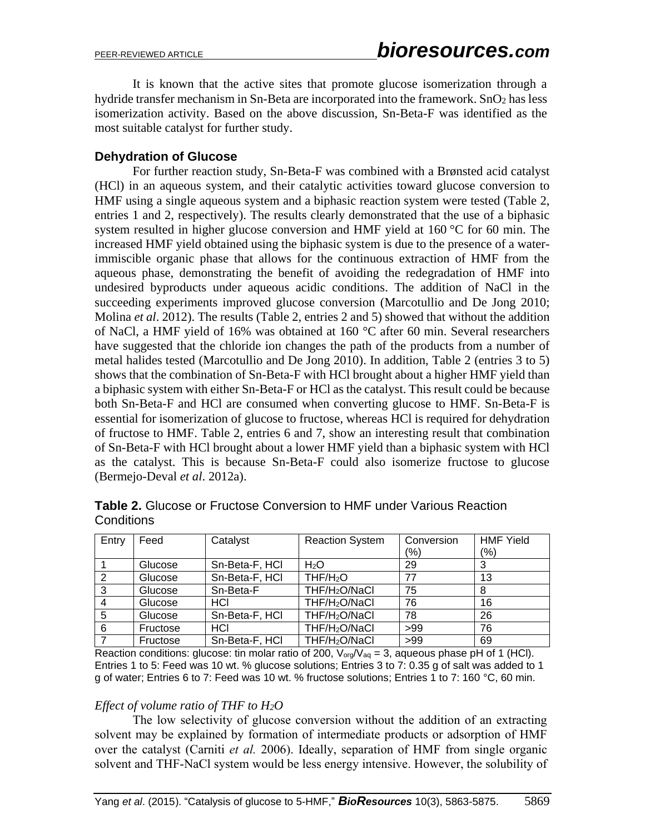It is known that the active sites that promote glucose isomerization through a hydride transfer mechanism in Sn-Beta are incorporated into the framework. SnO<sub>2</sub> has less isomerization activity. Based on the above discussion, Sn-Beta-F was identified as the most suitable catalyst for further study.

#### **Dehydration of Glucose**

For further reaction study, Sn-Beta-F was combined with a Brønsted acid catalyst (HCl) in an aqueous system, and their catalytic activities toward glucose conversion to HMF using a single aqueous system and a biphasic reaction system were tested (Table 2, entries 1 and 2, respectively). The results clearly demonstrated that the use of a biphasic system resulted in higher glucose conversion and HMF yield at 160 °C for 60 min. The increased HMF yield obtained using the biphasic system is due to the presence of a waterimmiscible organic phase that allows for the continuous extraction of HMF from the aqueous phase, demonstrating the benefit of avoiding the redegradation of HMF into undesired byproducts under aqueous acidic conditions. The addition of NaCl in the succeeding experiments improved glucose conversion (Marcotullio and De Jong 2010; Molina *et al*. 2012). The results (Table 2, entries 2 and 5) showed that without the addition of NaCl, a HMF yield of 16% was obtained at 160 °C after 60 min. Several researchers have suggested that the chloride ion changes the path of the products from a number of metal halides tested (Marcotullio and De Jong 2010). In addition, Table 2 (entries 3 to 5) shows that the combination of Sn-Beta-F with HCl brought about a higher HMF yield than a biphasic system with either Sn-Beta-F or HCl as the catalyst. This result could be because both Sn-Beta-F and HCl are consumed when converting glucose to HMF. Sn-Beta-F is essential for isomerization of glucose to fructose, whereas HCl is required for dehydration of fructose to HMF. Table 2, entries 6 and 7, show an interesting result that combination of Sn-Beta-F with HCl brought about a lower HMF yield than a biphasic system with HCl as the catalyst. This is because Sn-Beta-F could also isomerize fructose to glucose (Bermejo-Deval *et al*. 2012a).

| Entry | Feed     | Catalyst       | <b>Reaction System</b>    | Conversion    | <b>HMF Yield</b> |
|-------|----------|----------------|---------------------------|---------------|------------------|
|       |          |                |                           | $\frac{9}{6}$ | (%)              |
|       | Glucose  | Sn-Beta-F, HCI | H <sub>2</sub> O          | 29            |                  |
| 2     | Glucose  | Sn-Beta-F, HCI | THF/H <sub>2</sub> O      | 77            | 13               |
| 3     | Glucose  | Sn-Beta-F      | THF/H <sub>2</sub> O/NaCl | 75            | 8                |
|       | Glucose  | HCI            | THF/H <sub>2</sub> O/NaCl | 76            | 16               |
| 5     | Glucose  | Sn-Beta-F, HCI | THF/H <sub>2</sub> O/NaCl | 78            | 26               |
| 6     | Fructose | HCI            | THF/H <sub>2</sub> O/NaCl | >99           | 76               |
|       | Fructose | Sn-Beta-F, HCI | THF/H <sub>2</sub> O/NaCl | >99           | 69               |

**Table 2.** Glucose or Fructose Conversion to HMF under Various Reaction **Conditions** 

Reaction conditions: glucose: tin molar ratio of 200,  $V_{org}/V_{aq} = 3$ , aqueous phase pH of 1 (HCl). Entries 1 to 5: Feed was 10 wt. % glucose solutions; Entries 3 to 7: 0.35 g of salt was added to 1 g of water; Entries 6 to 7: Feed was 10 wt. % fructose solutions; Entries 1 to 7: 160 °C, 60 min.

#### *Effect of volume ratio of THF to H2O*

The low selectivity of glucose conversion without the addition of an extracting solvent may be explained by formation of intermediate products or adsorption of HMF over the catalyst (Carniti *et al.* 2006). Ideally, separation of HMF from single organic solvent and THF-NaCl system would be less energy intensive. However, the solubility of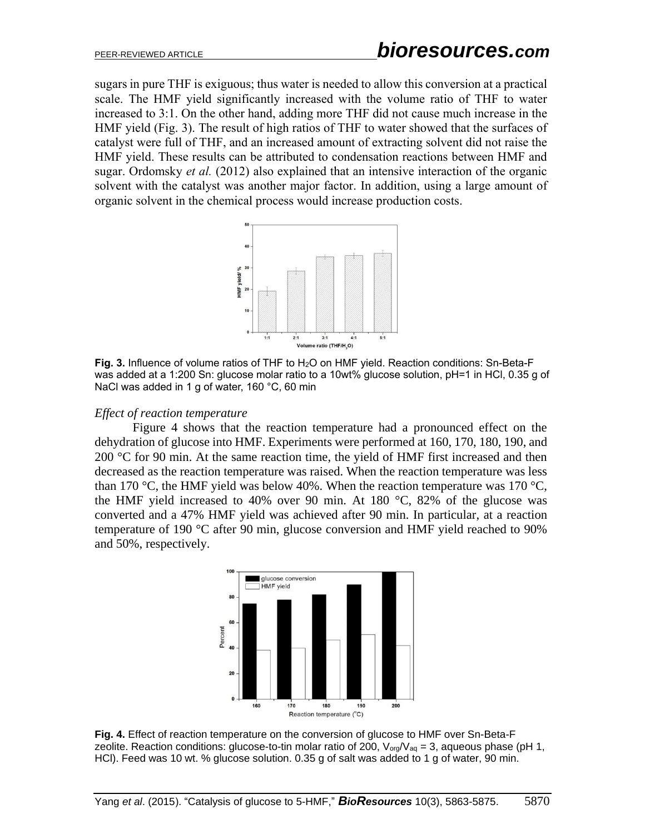sugars in pure THF is exiguous; thus water is needed to allow this conversion at a practical scale. The HMF yield significantly increased with the volume ratio of THF to water increased to 3:1. On the other hand, adding more THF did not cause much increase in the HMF yield (Fig. 3). The result of high ratios of THF to water showed that the surfaces of catalyst were full of THF, and an increased amount of extracting solvent did not raise the HMF yield. These results can be attributed to condensation reactions between HMF and sugar. Ordomsky *et al.* (2012) also explained that an intensive interaction of the organic solvent with the catalyst was another major factor. In addition, using a large amount of organic solvent in the chemical process would increase production costs.



**Fig. 3.** Influence of volume ratios of THF to H2O on HMF yield. Reaction conditions: Sn-Beta-F was added at a 1:200 Sn: glucose molar ratio to a 10wt% glucose solution, pH=1 in HCl, 0.35 g of NaCl was added in 1 g of water, 160 °C, 60 min

#### *Effect of reaction temperature*

Figure 4 shows that the reaction temperature had a pronounced effect on the dehydration of glucose into HMF. Experiments were performed at 160, 170, 180, 190, and 200  $\degree$ C for 90 min. At the same reaction time, the yield of HMF first increased and then decreased as the reaction temperature was raised. When the reaction temperature was less than 170 °C, the HMF yield was below 40%. When the reaction temperature was 170 °C, the HMF yield increased to 40% over 90 min. At 180 °C, 82% of the glucose was converted and a 47% HMF yield was achieved after 90 min. In particular, at a reaction temperature of 190 °C after 90 min, glucose conversion and HMF yield reached to 90% and 50%, respectively.



**Fig. 4.** Effect of reaction temperature on the conversion of glucose to HMF over Sn-Beta-F zeolite. Reaction conditions: glucose-to-tin molar ratio of 200,  $V_{org}/V_{aq} = 3$ , aqueous phase (pH 1, HCl). Feed was 10 wt. % glucose solution. 0.35 g of salt was added to 1 g of water, 90 min.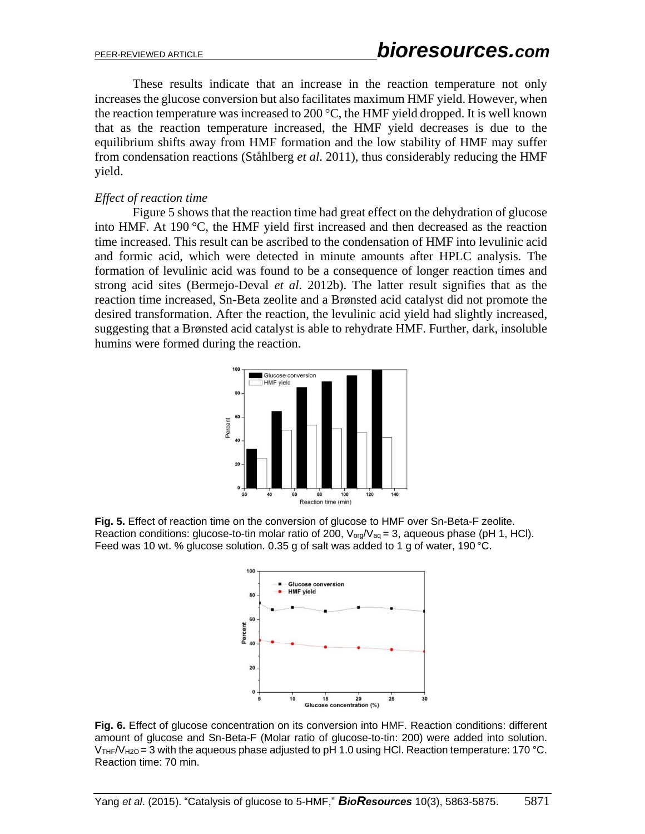These results indicate that an increase in the reaction temperature not only increases the glucose conversion but also facilitates maximum HMF yield. However, when the reaction temperature was increased to 200 °C, the HMF yield dropped. It is well known that as the reaction temperature increased, the HMF yield decreases is due to the equilibrium shifts away from HMF formation and the low stability of HMF may suffer from condensation reactions (Ståhlberg *et al*. 2011), thus considerably reducing the HMF yield.

#### *Effect of reaction time*

Figure 5 shows that the reaction time had great effect on the dehydration of glucose into HMF. At 190 °C, the HMF yield first increased and then decreased as the reaction time increased. This result can be ascribed to the condensation of HMF into levulinic acid and formic acid, which were detected in minute amounts after HPLC analysis. The formation of levulinic acid was found to be a consequence of longer reaction times and strong acid sites (Bermejo-Deval *et al*. 2012b). The latter result signifies that as the reaction time increased, Sn-Beta zeolite and a Brønsted acid catalyst did not promote the desired transformation. After the reaction, the levulinic acid yield had slightly increased, suggesting that a Brønsted acid catalyst is able to rehydrate HMF. Further, dark, insoluble humins were formed during the reaction.



**Fig. 5.** Effect of reaction time on the conversion of glucose to HMF over Sn-Beta-F zeolite. Reaction conditions: glucose-to-tin molar ratio of 200,  $V_{org}/V_{ag} = 3$ , aqueous phase (pH 1, HCl). Feed was 10 wt. % glucose solution. 0.35 g of salt was added to 1 g of water, 190 °C.



**Fig. 6.** Effect of glucose concentration on its conversion into HMF. Reaction conditions: different amount of glucose and Sn-Beta-F (Molar ratio of glucose-to-tin: 200) were added into solution.  $V$ <sub>THF</sub>/ $V$ <sub>H2O</sub> = 3 with the aqueous phase adjusted to pH 1.0 using HCl. Reaction temperature: 170 °C. Reaction time: 70 min.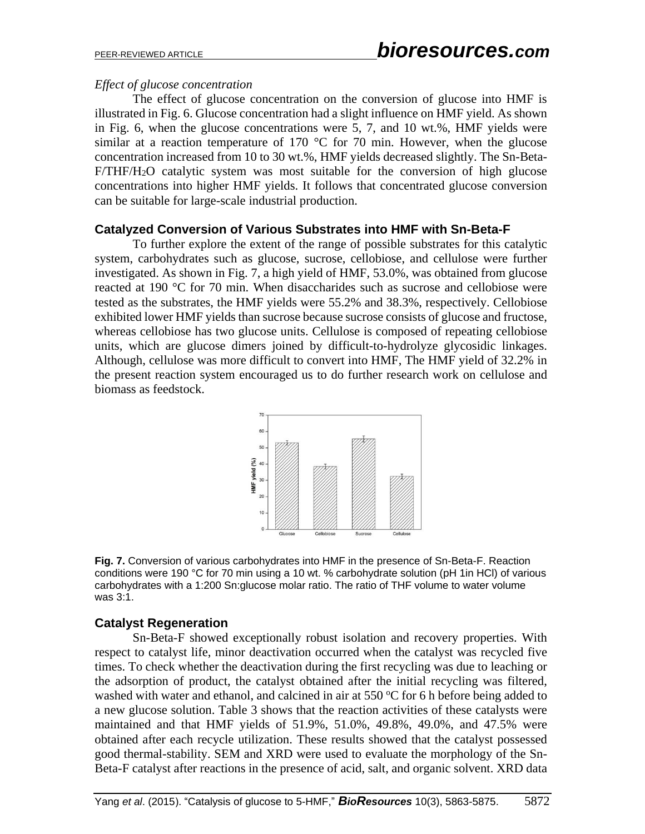#### *Effect of glucose concentration*

The effect of glucose concentration on the conversion of glucose into HMF is illustrated in Fig. 6. Glucose concentration had a slight influence on HMF yield. As shown in Fig. 6, when the glucose concentrations were 5, 7, and 10 wt.%, HMF yields were similar at a reaction temperature of 170  $\degree$ C for 70 min. However, when the glucose concentration increased from 10 to 30 wt.%, HMF yields decreased slightly. The Sn-Beta-F/THF/H2O catalytic system was most suitable for the conversion of high glucose concentrations into higher HMF yields. It follows that concentrated glucose conversion can be suitable for large-scale industrial production.

#### **Catalyzed Conversion of Various Substrates into HMF with Sn-Beta-F**

To further explore the extent of the range of possible substrates for this catalytic system, carbohydrates such as glucose, sucrose, cellobiose, and cellulose were further investigated. As shown in Fig. 7, a high yield of HMF, 53.0%, was obtained from glucose reacted at 190 °C for 70 min. When disaccharides such as sucrose and cellobiose were tested as the substrates, the HMF yields were 55.2% and 38.3%, respectively. Cellobiose exhibited lower HMF yields than sucrose because sucrose consists of glucose and fructose, whereas cellobiose has two glucose units. Cellulose is composed of repeating cellobiose units, which are glucose dimers joined by difficult-to-hydrolyze glycosidic linkages. Although, cellulose was more difficult to convert into HMF, The HMF yield of 32.2% in the present reaction system encouraged us to do further research work on cellulose and biomass as feedstock.



**Fig. 7.** Conversion of various carbohydrates into HMF in the presence of Sn-Beta-F. Reaction conditions were 190 °C for 70 min using a 10 wt. % carbohydrate solution (pH 1in HCl) of various carbohydrates with a 1:200 Sn:glucose molar ratio. The ratio of THF volume to water volume was 3:1.

#### **Catalyst Regeneration**

Sn-Beta-F showed exceptionally robust isolation and recovery properties. With respect to catalyst life, minor deactivation occurred when the catalyst was recycled five times. To check whether the deactivation during the first recycling was due to leaching or the adsorption of product, the catalyst obtained after the initial recycling was filtered, washed with water and ethanol, and calcined in air at 550  $\mathrm{^{\circ}C}$  for 6 h before being added to a new glucose solution. Table 3 shows that the reaction activities of these catalysts were maintained and that HMF yields of 51.9%, 51.0%, 49.8%, 49.0%, and 47.5% were obtained after each recycle utilization. These results showed that the catalyst possessed good thermal-stability. SEM and XRD were used to evaluate the morphology of the Sn-Beta-F catalyst after reactions in the presence of acid, salt, and organic solvent. XRD data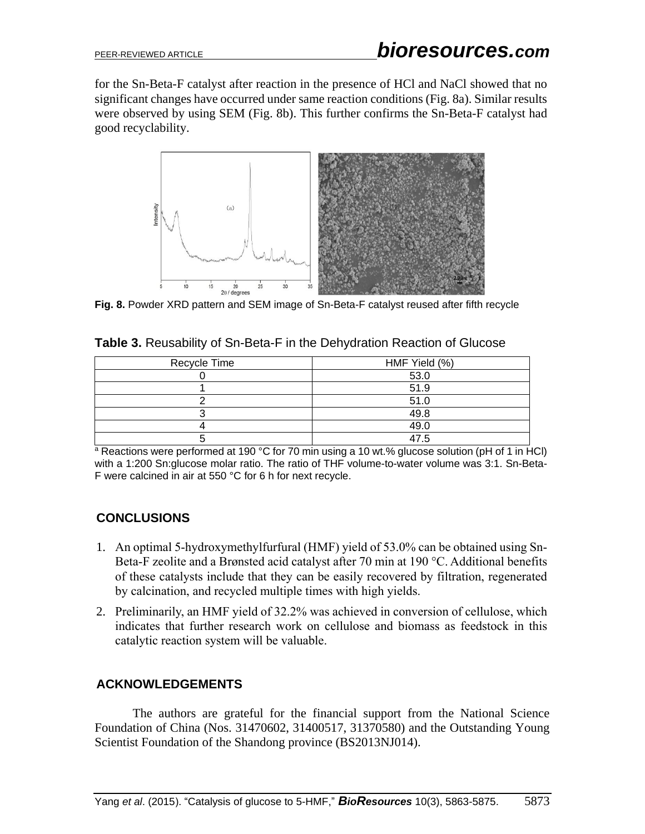for the Sn-Beta-F catalyst after reaction in the presence of HCl and NaCl showed that no significant changes have occurred under same reaction conditions (Fig. 8a). Similar results were observed by using SEM (Fig. 8b). This further confirms the Sn-Beta-F catalyst had good recyclability.



**Fig. 8.** Powder XRD pattern and SEM image of Sn-Beta-F catalyst reused after fifth recycle

| Recycle Time | HMF Yield (%) |
|--------------|---------------|
|              | 53.0          |
|              | 51.9          |
|              | 51.0          |
|              | 49.8          |
|              | 49.0          |
|              | 47 5          |

**Table 3.** Reusability of Sn-Beta-F in the Dehydration Reaction of Glucose

 $\overline{a}$  Reactions were performed at 190 °C for 70 min using a 10 wt.% glucose solution (pH of 1 in HCl) with a 1:200 Sn:glucose molar ratio. The ratio of THF volume-to-water volume was 3:1. Sn-Beta-F were calcined in air at 550 °C for 6 h for next recycle.

# **CONCLUSIONS**

- 1. An optimal 5-hydroxymethylfurfural (HMF) yield of 53.0% can be obtained using Sn-Beta-F zeolite and a Brønsted acid catalyst after 70 min at 190 °C. Additional benefits of these catalysts include that they can be easily recovered by filtration, regenerated by calcination, and recycled multiple times with high yields.
- 2. Preliminarily, an HMF yield of 32.2% was achieved in conversion of cellulose, which indicates that further research work on cellulose and biomass as feedstock in this catalytic reaction system will be valuable.

# **ACKNOWLEDGEMENTS**

The authors are grateful for the financial support from the National Science Foundation of China (Nos. 31470602, 31400517, 31370580) and the Outstanding Young Scientist Foundation of the Shandong province (BS2013NJ014).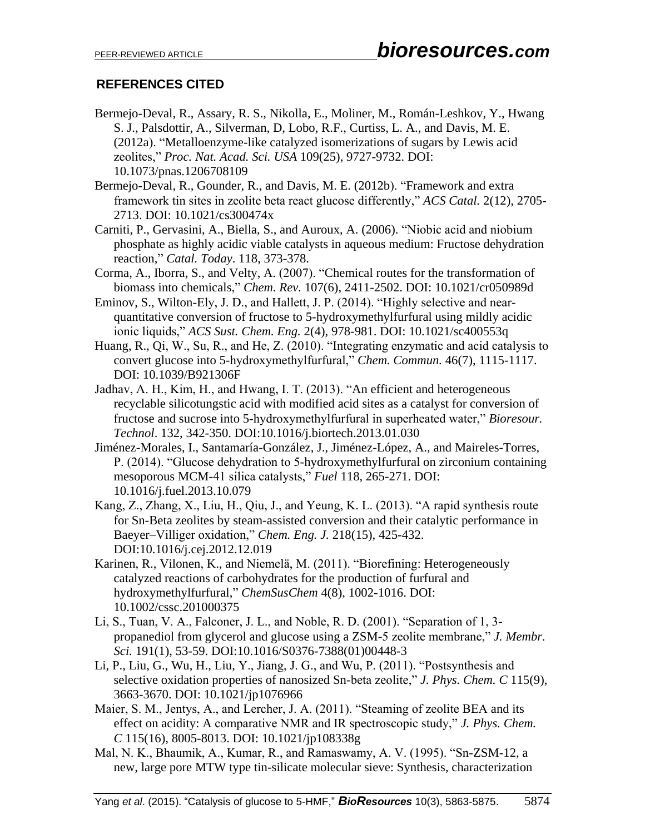### **REFERENCES CITED**

- Bermejo-Deval, R., Assary, R. S., Nikolla, E., Moliner, M., Román-Leshkov, Y., Hwang S. J., Palsdottir, A., Silverman, D, Lobo, R.F., Curtiss, L. A., and Davis, M. E. (2012a). "Metalloenzyme-like catalyzed isomerizations of sugars by Lewis acid zeolites," *Proc. Nat. Acad. Sci. USA* 109(25), 9727-9732. DOI: 10.1073/pnas.1206708109
- Bermejo-Deval, R., Gounder, R., and Davis, M. E. (2012b). "Framework and extra framework tin sites in zeolite beta react glucose differently," *ACS Catal.* 2(12), 2705- 2713. DOI: 10.1021/cs300474x
- Carniti, P., Gervasini, A., Biella, S., and Auroux, A. (2006). "Niobic acid and niobium phosphate as highly acidic viable catalysts in aqueous medium: Fructose dehydration reaction," *Catal. Today*. 118, 373-378.
- Corma, A., Iborra, S., and Velty, A. (2007). "Chemical routes for the transformation of biomass into chemicals," *Chem. Rev.* 107(6), 2411-2502. DOI: 10.1021/cr050989d
- Eminov, S., Wilton-Ely, J. D., and Hallett, J. P. (2014). "Highly selective and nearquantitative conversion of fructose to 5-hydroxymethylfurfural using mildly acidic ionic liquids," *ACS Sust. Chem. Eng.* 2(4), 978-981. DOI: 10.1021/sc400553q
- Huang, R., Qi, W., Su, R., and He, Z. (2010). "Integrating enzymatic and acid catalysis to convert glucose into 5-hydroxymethylfurfural," *Chem. Commun.* 46(7), 1115-1117. DOI: 10.1039/B921306F
- Jadhav, A. H., Kim, H., and Hwang, I. T. (2013). "An efficient and heterogeneous recyclable silicotungstic acid with modified acid sites as a catalyst for conversion of fructose and sucrose into 5-hydroxymethylfurfural in superheated water," *Bioresour. Technol*. 132, 342-350. DOI:10.1016/j.biortech.2013.01.030
- Jiménez-Morales, I., Santamaría-González, J., Jiménez-López, A., and Maireles-Torres, P. (2014). "Glucose dehydration to 5-hydroxymethylfurfural on zirconium containing mesoporous MCM-41 silica catalysts," *Fuel* 118, 265-271. DOI: 10.1016/j.fuel.2013.10.079
- Kang, Z., Zhang, X., Liu, H., Qiu, J., and Yeung, K. L. (2013). "A rapid synthesis route for Sn-Beta zeolites by steam-assisted conversion and their catalytic performance in Baeyer–Villiger oxidation," *Chem. Eng. J.* 218(15), 425-432. DOI:10.1016/j.cej.2012.12.019
- Karinen, R., Vilonen, K., and Niemelä, M. (2011). "Biorefining: Heterogeneously catalyzed reactions of carbohydrates for the production of furfural and hydroxymethylfurfural," *ChemSusChem* 4(8), 1002-1016. DOI: 10.1002/cssc.201000375
- Li, S., Tuan, V. A., Falconer, J. L., and Noble, R. D. (2001). "Separation of 1, 3 propanediol from glycerol and glucose using a ZSM-5 zeolite membrane," *J. Membr. Sci.* 191(1), 53-59. DOI:10.1016/S0376-7388(01)00448-3
- Li, P., Liu, G., Wu, H., Liu, Y., Jiang, J. G., and Wu, P. (2011). "Postsynthesis and selective oxidation properties of nanosized Sn-beta zeolite," *J. Phys. Chem. C* 115(9), 3663-3670. DOI: 10.1021/jp1076966
- Maier, S. M., Jentys, A., and Lercher, J. A. (2011). "Steaming of zeolite BEA and its effect on acidity: A comparative NMR and IR spectroscopic study," *J. Phys. Chem. C* 115(16), 8005-8013. DOI: 10.1021/jp108338g
- Mal, N. K., Bhaumik, A., Kumar, R., and Ramaswamy, A. V. (1995). "Sn-ZSM-12, a new, large pore MTW type tin-silicate molecular sieve: Synthesis, characterization